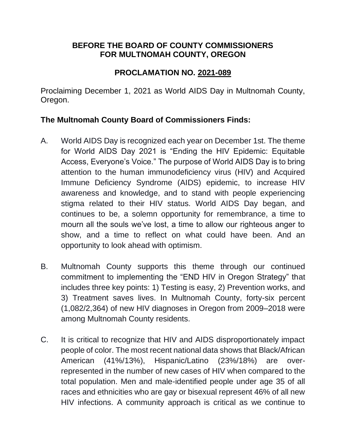## **BEFORE THE BOARD OF COUNTY COMMISSIONERS FOR MULTNOMAH COUNTY, OREGON**

## **PROCLAMATION NO. 2021-089**

Proclaiming December 1, 2021 as World AIDS Day in Multnomah County, Oregon.

## **The Multnomah County Board of Commissioners Finds:**

- A. World AIDS Day is recognized each year on December 1st. The theme for World AIDS Day 2021 is "Ending the HIV Epidemic: Equitable Access, Everyone's Voice." The purpose of World AIDS Day is to bring attention to the human immunodeficiency virus (HIV) and Acquired Immune Deficiency Syndrome (AIDS) epidemic, to increase HIV awareness and knowledge, and to stand with people experiencing stigma related to their HIV status. World AIDS Day began, and continues to be, a solemn opportunity for remembrance, a time to mourn all the souls we've lost, a time to allow our righteous anger to show, and a time to reflect on what could have been. And an opportunity to look ahead with optimism.
- B. Multnomah County supports this theme through our continued commitment to implementing the "END HIV in Oregon Strategy" that includes three key points: 1) Testing is easy, 2) Prevention works, and 3) Treatment saves lives. In Multnomah County, forty-six percent (1,082/2,364) of new HIV diagnoses in Oregon from 2009–2018 were among Multnomah County residents.
- C. It is critical to recognize that HIV and AIDS disproportionately impact people of color. The most recent national data shows that Black/African American (41%/13%), Hispanic/Latino (23%/18%) are overrepresented in the number of new cases of HIV when compared to the total population. Men and male-identified people under age 35 of all races and ethnicities who are gay or bisexual represent 46% of all new HIV infections. A community approach is critical as we continue to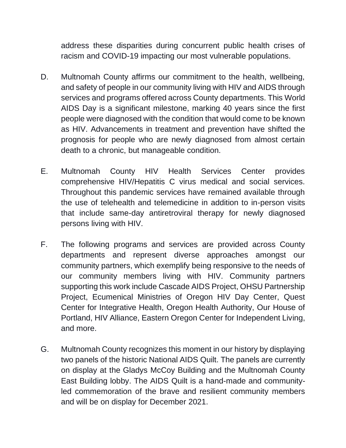address these disparities during concurrent public health crises of racism and COVID-19 impacting our most vulnerable populations.

- D. Multnomah County affirms our commitment to the health, wellbeing, and safety of people in our community living with HIV and AIDS through services and programs offered across County departments. This World AIDS Day is a significant milestone, marking 40 years since the first people were diagnosed with the condition that would come to be known as HIV. Advancements in treatment and prevention have shifted the prognosis for people who are newly diagnosed from almost certain death to a chronic, but manageable condition.
- E. Multnomah County HIV Health Services Center provides comprehensive HIV/Hepatitis C virus medical and social services. Throughout this pandemic services have remained available through the use of telehealth and telemedicine in addition to in-person visits that include same-day antiretroviral therapy for newly diagnosed persons living with HIV.
- F. The following programs and services are provided across County departments and represent diverse approaches amongst our community partners, which exemplify being responsive to the needs of our community members living with HIV. Community partners supporting this work include Cascade AIDS Project, OHSU Partnership Project, Ecumenical Ministries of Oregon HIV Day Center, Quest Center for Integrative Health, Oregon Health Authority, Our House of Portland, HIV Alliance, Eastern Oregon Center for Independent Living, and more.
- G. Multnomah County recognizes this moment in our history by displaying two panels of the historic National AIDS Quilt. The panels are currently on display at the Gladys McCoy Building and the Multnomah County East Building lobby. The AIDS Quilt is a hand-made and communityled commemoration of the brave and resilient community members and will be on display for December 2021.